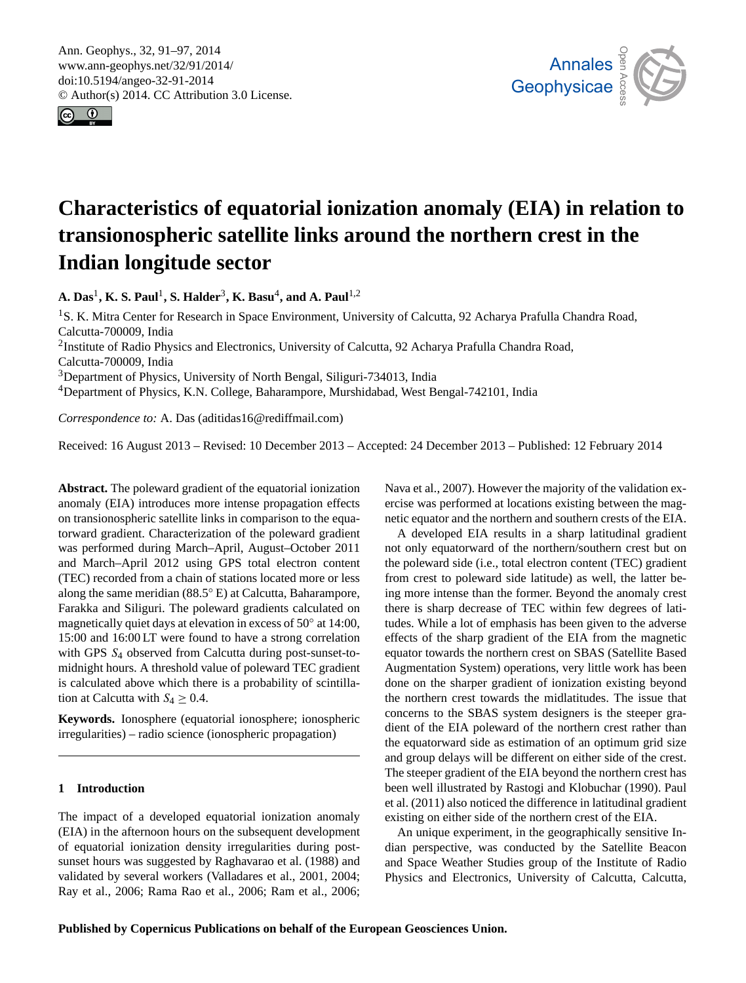<span id="page-0-0"></span>Ann. Geophys., 32, 91–97, 2014 www.ann-geophys.net/32/91/2014/ doi:10.5194/angeo-32-91-2014 © Author(s) 2014. CC Attribution 3.0 License.





# **Characteristics of equatorial ionization anomaly (EIA) in relation to transionospheric satellite links around the northern crest in the Indian longitude sector**

**A. Das**<sup>1</sup> **, K. S. Paul**<sup>1</sup> **, S. Halder**<sup>3</sup> **, K. Basu**<sup>4</sup> **, and A. Paul**1,2

<sup>1</sup>S. K. Mitra Center for Research in Space Environment, University of Calcutta, 92 Acharya Prafulla Chandra Road, Calcutta-700009, India <sup>2</sup>Institute of Radio Physics and Electronics, University of Calcutta, 92 Acharya Prafulla Chandra Road, Calcutta-700009, India

<sup>3</sup>Department of Physics, University of North Bengal, Siliguri-734013, India

<sup>4</sup>Department of Physics, K.N. College, Baharampore, Murshidabad, West Bengal-742101, India

*Correspondence to:* A. Das (aditidas16@rediffmail.com)

Received: 16 August 2013 – Revised: 10 December 2013 – Accepted: 24 December 2013 – Published: 12 February 2014

**Abstract.** The poleward gradient of the equatorial ionization anomaly (EIA) introduces more intense propagation effects on transionospheric satellite links in comparison to the equatorward gradient. Characterization of the poleward gradient was performed during March–April, August–October 2011 and March–April 2012 using GPS total electron content (TEC) recorded from a chain of stations located more or less along the same meridian (88.5◦ E) at Calcutta, Baharampore, Farakka and Siliguri. The poleward gradients calculated on magnetically quiet days at elevation in excess of 50° at 14:00, 15:00 and 16:00 LT were found to have a strong correlation with GPS  $S_4$  observed from Calcutta during post-sunset-tomidnight hours. A threshold value of poleward TEC gradient is calculated above which there is a probability of scintillation at Calcutta with  $S_4 \geq 0.4$ .

**Keywords.** Ionosphere (equatorial ionosphere; ionospheric irregularities) – radio science (ionospheric propagation)

## **1 Introduction**

The impact of a developed equatorial ionization anomaly (EIA) in the afternoon hours on the subsequent development of equatorial ionization density irregularities during postsunset hours was suggested by Raghavarao et al. (1988) and validated by several workers (Valladares et al., 2001, 2004; Ray et al., 2006; Rama Rao et al., 2006; Ram et al., 2006;

Nava et al., 2007). However the majority of the validation exercise was performed at locations existing between the magnetic equator and the northern and southern crests of the EIA.

A developed EIA results in a sharp latitudinal gradient not only equatorward of the northern/southern crest but on the poleward side (i.e., total electron content (TEC) gradient from crest to poleward side latitude) as well, the latter being more intense than the former. Beyond the anomaly crest there is sharp decrease of TEC within few degrees of latitudes. While a lot of emphasis has been given to the adverse effects of the sharp gradient of the EIA from the magnetic equator towards the northern crest on SBAS (Satellite Based Augmentation System) operations, very little work has been done on the sharper gradient of ionization existing beyond the northern crest towards the midlatitudes. The issue that concerns to the SBAS system designers is the steeper gradient of the EIA poleward of the northern crest rather than the equatorward side as estimation of an optimum grid size and group delays will be different on either side of the crest. The steeper gradient of the EIA beyond the northern crest has been well illustrated by Rastogi and Klobuchar (1990). Paul et al. (2011) also noticed the difference in latitudinal gradient existing on either side of the northern crest of the EIA.

An unique experiment, in the geographically sensitive Indian perspective, was conducted by the Satellite Beacon and Space Weather Studies group of the Institute of Radio Physics and Electronics, University of Calcutta, Calcutta,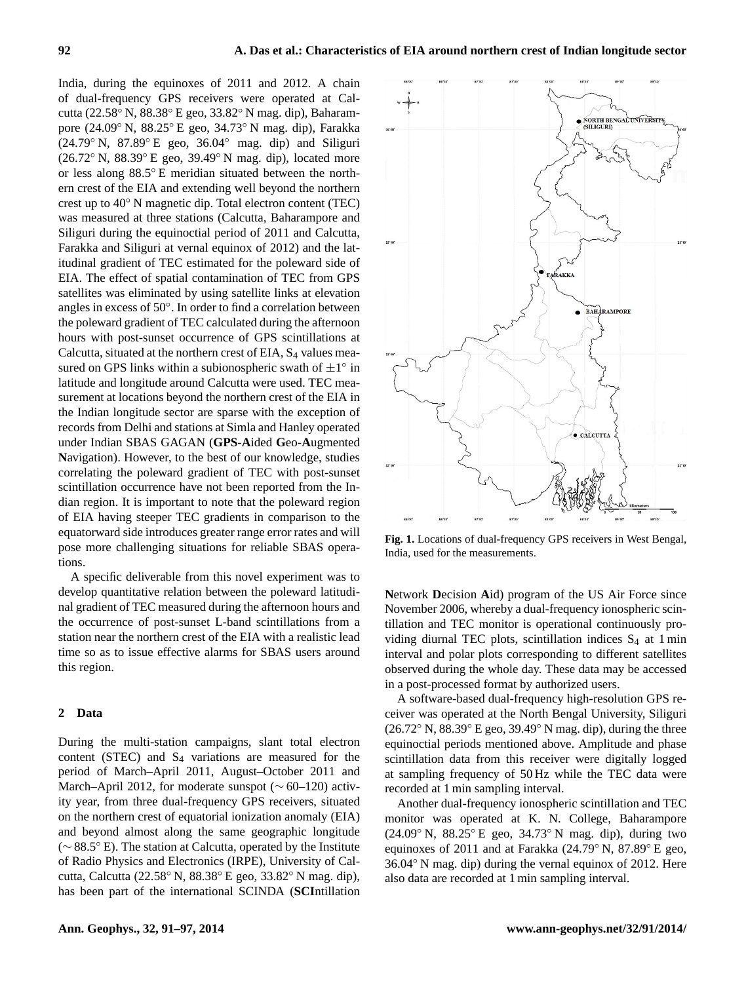India, during the equinoxes of 2011 and 2012. A chain of dual-frequency GPS receivers were operated at Calcutta (22.58◦ N, 88.38◦ E geo, 33.82◦ N mag. dip), Baharampore (24.09◦ N, 88.25◦ E geo, 34.73◦ N mag. dip), Farakka  $(24.79°\text{ N}, 87.89°\text{ E}$  geo,  $36.04°$  mag. dip) and Siliguri (26.72◦ N, 88.39◦ E geo, 39.49◦ N mag. dip), located more or less along 88.5◦ E meridian situated between the northern crest of the EIA and extending well beyond the northern crest up to 40◦ N magnetic dip. Total electron content (TEC) was measured at three stations (Calcutta, Baharampore and Siliguri during the equinoctial period of 2011 and Calcutta, Farakka and Siliguri at vernal equinox of 2012) and the latitudinal gradient of TEC estimated for the poleward side of EIA. The effect of spatial contamination of TEC from GPS satellites was eliminated by using satellite links at elevation angles in excess of 50◦ . In order to find a correlation between the poleward gradient of TEC calculated during the afternoon hours with post-sunset occurrence of GPS scintillations at Calcutta, situated at the northern crest of EIA, S<sub>4</sub> values measured on GPS links within a subionospheric swath of  $\pm 1^{\circ}$  in latitude and longitude around Calcutta were used. TEC measurement at locations beyond the northern crest of the EIA in the Indian longitude sector are sparse with the exception of records from Delhi and stations at Simla and Hanley operated under Indian SBAS GAGAN (**GPS**-**A**ided **G**eo-**A**ugmented **N**avigation). However, to the best of our knowledge, studies correlating the poleward gradient of TEC with post-sunset scintillation occurrence have not been reported from the Indian region. It is important to note that the poleward region of EIA having steeper TEC gradients in comparison to the equatorward side introduces greater range error rates and will pose more challenging situations for reliable SBAS operations.

A specific deliverable from this novel experiment was to develop quantitative relation between the poleward latitudinal gradient of TEC measured during the afternoon hours and the occurrence of post-sunset L-band scintillations from a station near the northern crest of the EIA with a realistic lead time so as to issue effective alarms for SBAS users around this region.

## **2 Data**

During the multi-station campaigns, slant total electron content (STEC) and  $S_4$  variations are measured for the period of March–April 2011, August–October 2011 and March–April 2012, for moderate sunspot (∼ 60–120) activity year, from three dual-frequency GPS receivers, situated on the northern crest of equatorial ionization anomaly (EIA) and beyond almost along the same geographic longitude (∼ 88.5◦ E). The station at Calcutta, operated by the Institute of Radio Physics and Electronics (IRPE), University of Calcutta, Calcutta (22.58◦ N, 88.38◦ E geo, 33.82◦ N mag. dip), has been part of the international SCINDA (**SCI**ntillation



**Fig. 1.** Locations of dual-frequency GPS receivers in West Bengal, India, used for the measurements.

**N**etwork **D**ecision **A**id) program of the US Air Force since November 2006, whereby a dual-frequency ionospheric scintillation and TEC monitor is operational continuously providing diurnal TEC plots, scintillation indices  $S_4$  at 1 min interval and polar plots corresponding to different satellites observed during the whole day. These data may be accessed in a post-processed format by authorized users.

A software-based dual-frequency high-resolution GPS receiver was operated at the North Bengal University, Siliguri (26.72◦ N, 88.39◦ E geo, 39.49◦ N mag. dip), during the three equinoctial periods mentioned above. Amplitude and phase scintillation data from this receiver were digitally logged at sampling frequency of 50 Hz while the TEC data were recorded at 1 min sampling interval.

Another dual-frequency ionospheric scintillation and TEC monitor was operated at K. N. College, Baharampore (24.09◦ N, 88.25◦ E geo, 34.73◦ N mag. dip), during two equinoxes of 2011 and at Farakka (24.79◦ N, 87.89◦ E geo, 36.04◦ N mag. dip) during the vernal equinox of 2012. Here also data are recorded at 1 min sampling interval.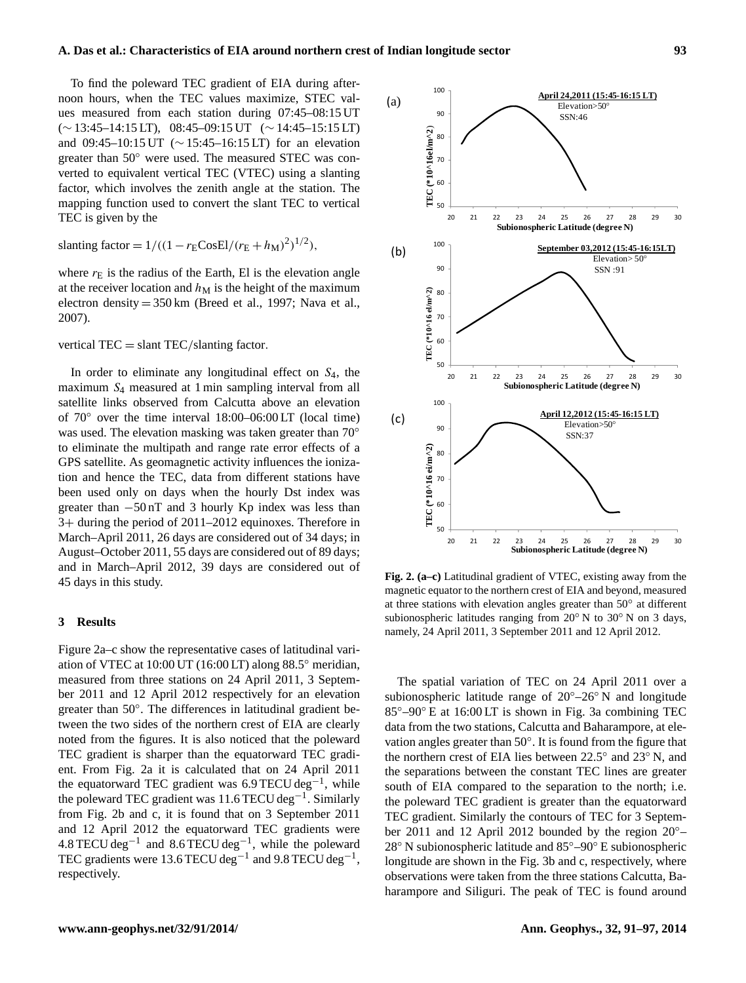To find the poleward TEC gradient of EIA during afternoon hours, when the TEC values maximize, STEC values measured from each station during 07:45–08:15 UT (∼ 13:45–14:15 LT), 08:45–09:15 UT (∼ 14:45–15:15 LT) and 09:45–10:15 UT (∼ 15:45–16:15 LT) for an elevation greater than 50◦ were used. The measured STEC was converted to equivalent vertical TEC (VTEC) using a slanting factor, which involves the zenith angle at the station. The mapping function used to convert the slant TEC to vertical TEC is given by the

slanting factor = 
$$
1/((1 - r_E \text{CosEl}/(r_E + h_M)^2)^{1/2})
$$
,

where  $r<sub>E</sub>$  is the radius of the Earth, El is the elevation angle at the receiver location and  $h_M$  is the height of the maximum electron density = 350 km (Breed et al., 1997; Nava et al., 2007).

vertical  $TEC = \text{slant }TEC/\text{slanting factor}$ .

In order to eliminate any longitudinal effect on  $S_4$ , the maximum S<sup>4</sup> measured at 1 min sampling interval from all satellite links observed from Calcutta above an elevation of 70◦ over the time interval 18:00–06:00 LT (local time) was used. The elevation masking was taken greater than 70° to eliminate the multipath and range rate error effects of a GPS satellite. As geomagnetic activity influences the ionization and hence the TEC, data from different stations have been used only on days when the hourly Dst index was greater than  $-50$  nT and 3 hourly Kp index was less than 3+ during the period of 2011–2012 equinoxes. Therefore in March–April 2011, 26 days are considered out of 34 days; in August–October 2011, 55 days are considered out of 89 days; and in March–April 2012, 39 days are considered out of 45 days in this study.

### **3 Results**

Figure 2a–c show the representative cases of latitudinal variation of VTEC at 10:00 UT (16:00 LT) along 88.5◦ meridian, measured from three stations on 24 April 2011, 3 September 2011 and 12 April 2012 respectively for an elevation greater than 50°. The differences in latitudinal gradient between the two sides of the northern crest of EIA are clearly noted from the figures. It is also noticed that the poleward TEC gradient is sharper than the equatorward TEC gradient. From Fig. 2a it is calculated that on 24 April 2011 the equatorward TEC gradient was 6.9 TECU deg<sup>-1</sup>, while the poleward TEC gradient was 11.6 TECU deg−<sup>1</sup> . Similarly from Fig. 2b and c, it is found that on 3 September 2011 and 12 April 2012 the equatorward TEC gradients were  $4.8$  TECU deg<sup>-1</sup> and  $8.6$  TECU deg<sup>-1</sup>, while the poleward TEC gradients were 13.6 TECU deg<sup>-1</sup> and 9.8 TECU deg<sup>-1</sup>, respectively.



Fig. 2. (a-c) Latitudinal gradient of VTEC, existing away from the magnetic equator to the northern crest of EIA and beyond, measured at three stations with elevation angles greater than 50◦ at different subionospheric latitudes ranging from 20◦ N to 30◦ N on 3 days, namely, 24 April 2011, 3 September 2011 and 12 April 2012.

The spatial variation of TEC on 24 April 2011 over a subionospheric latitude range of 20◦–26◦ N and longitude 85◦–90◦ E at 16:00 LT is shown in Fig. 3a combining TEC data from the two stations, Calcutta and Baharampore, at elevation angles greater than 50°. It is found from the figure that the northern crest of EIA lies between 22.5◦ and 23◦ N, and the separations between the constant TEC lines are greater south of EIA compared to the separation to the north; i.e. the poleward TEC gradient is greater than the equatorward TEC gradient. Similarly the contours of TEC for 3 September 2011 and 12 April 2012 bounded by the region 20◦– 28◦ N subionospheric latitude and 85◦–90◦ E subionospheric longitude are shown in the Fig. 3b and c, respectively, where observations were taken from the three stations Calcutta, Baharampore and Siliguri. The peak of TEC is found around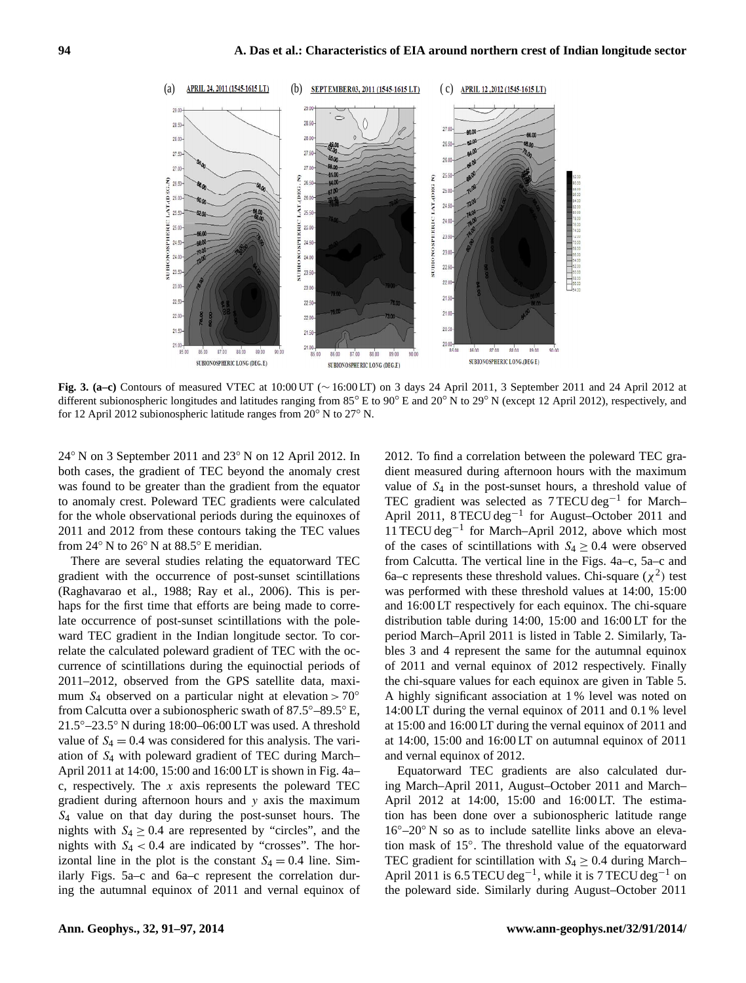

different subionospheric longitudes and latitudes ranging from 85° E to 90° E and 20° N to 29° N (except 12 April 2012), respectively, and **Fig. 3. (a–c)** Contours of measured VTEC at 10:00 UT (∼ 16:00 LT) on 3 days 24 April 2011, 3 September 2011 and 24 April 2012 at for 12 April 2012 subionospheric latitude ranges from 20◦ N to 27◦ N.

24◦ N on 3 September 2011 and 23◦ N on 12 April 2012. In both cases, the gradient of TEC beyond the anomaly crest was found to be greater than the gradient from the equator to anomaly crest. Poleward TEC gradients were calculated for the whole observational periods during the equinoxes of 2011 and 2012 from these contours taking the TEC values from 24◦ N to 26◦ N at 88.5◦ E meridian.

There are several studies relating the equatorward TEC gradient with the occurrence of post-sunset scintillations (Raghavarao et al., 1988; Ray et al., 2006). This is perhaps for the first time that efforts are being made to correlate occurrence of post-sunset scintillations with the poleward TEC gradient in the Indian longitude sector. To correlate the calculated poleward gradient of TEC with the occurrence of scintillations during the equinoctial periods of 2011–2012, observed from the GPS satellite data, maximum  $S_4$  observed on a particular night at elevation > 70 $\degree$ from Calcutta over a subionospheric swath of 87.5◦–89.5◦ E, 21.5◦–23.5◦ N during 18:00–06:00 LT was used. A threshold value of  $S_4 = 0.4$  was considered for this analysis. The variation of S<sup>4</sup> with poleward gradient of TEC during March– April 2011 at 14:00, 15:00 and 16:00 LT is shown in Fig. 4a– c, respectively. The x axis represents the poleward TEC gradient during afternoon hours and y axis the maximum  $S_4$  value on that day during the post-sunset hours. The nights with  $S_4 \geq 0.4$  are represented by "circles", and the nights with  $S_4 < 0.4$  are indicated by "crosses". The horizontal line in the plot is the constant  $S_4 = 0.4$  line. Similarly Figs. 5a–c and 6a–c represent the correlation during the autumnal equinox of 2011 and vernal equinox of 2012. To find a correlation between the poleward TEC gradient measured during afternoon hours with the maximum value of  $S_4$  in the post-sunset hours, a threshold value of TEC gradient was selected as 7 TECU deg−<sup>1</sup> for March– April 2011, 8 TECU deg<sup>-1</sup> for August-October 2011 and 11 TECU deg−<sup>1</sup> for March–April 2012, above which most of the cases of scintillations with  $S_4 \geq 0.4$  were observed from Calcutta. The vertical line in the Figs. 4a–c, 5a–c and 6a–c represents these threshold values. Chi-square  $(\chi^2)$  test was performed with these threshold values at 14:00, 15:00 and 16:00 LT respectively for each equinox. The chi-square distribution table during 14:00, 15:00 and 16:00 LT for the period March–April 2011 is listed in Table 2. Similarly, Tables 3 and 4 represent the same for the autumnal equinox of 2011 and vernal equinox of 2012 respectively. Finally the chi-square values for each equinox are given in Table 5. A highly significant association at 1 % level was noted on 14:00 LT during the vernal equinox of 2011 and 0.1 % level at 15:00 and 16:00 LT during the vernal equinox of 2011 and at 14:00, 15:00 and 16:00 LT on autumnal equinox of 2011 and vernal equinox of 2012.

Equatorward TEC gradients are also calculated during March–April 2011, August–October 2011 and March– April 2012 at 14:00, 15:00 and 16:00 LT. The estimation has been done over a subionospheric latitude range  $16^{\circ}$ –20 $^{\circ}$  N so as to include satellite links above an elevation mask of 15◦ . The threshold value of the equatorward TEC gradient for scintillation with  $S_4 \geq 0.4$  during March– April 2011 is 6.5 TECU deg<sup>-1</sup>, while it is 7 TECU deg<sup>-1</sup> on the poleward side. Similarly during August–October 2011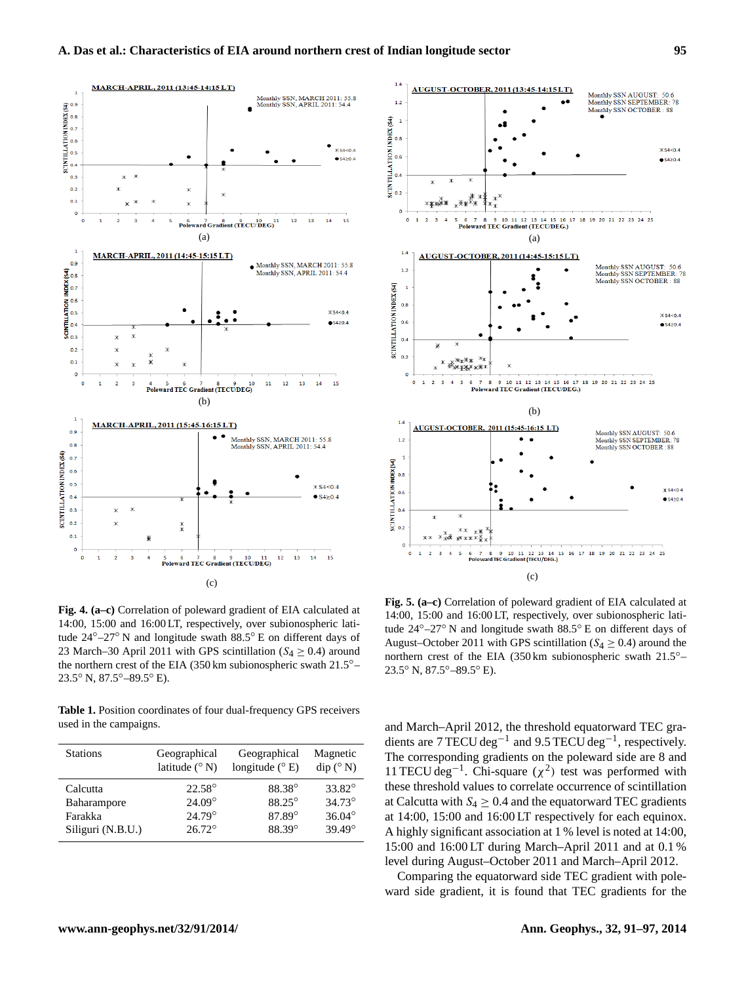

Fig. 4. (a-c) Correlation of poleward gradient of EIA calculated at 14:00, 15:00 and 16:00 LT, respectively, over subionospheric latitude 24◦–27◦ N and longitude swath 88.5◦ E on different days of 23 March–30 April 2011 with GPS scintillation ( $S_4 \geq 0.4$ ) around the northern crest of the EIA (350 km subionospheric swath 21.5◦– 23.5◦ N, 87.5◦–89.5◦ E).

**Table 1.** Position coordinates of four dual-frequency GPS receivers used in the campaigns.

| <b>Stations</b>   | Geographical           | Geographical            | Magnetic                         |
|-------------------|------------------------|-------------------------|----------------------------------|
|                   | latitude $(^{\circ}N)$ | longitude $(^{\circ}E)$ | $\text{dip} (^{\circ} \text{N})$ |
| Calcutta          | $22.58^{\circ}$        | 88.38°                  | 33.82°                           |
| Baharampore       | $24.09^{\circ}$        | 88.25°                  | $34.73^{\circ}$                  |
| Farakka           | $24.79^{\circ}$        | 87.89°                  | $36.04^{\circ}$                  |
| Siliguri (N.B.U.) | $26.72^{\circ}$        | 88.39°                  | $39.49^{\circ}$                  |



Fig. 5. (a-c) Correlation of poleward gradient of EIA calculated at 14:00, 15:00 and 16:00 LT, respectively, over subionospheric latitude 24◦–27◦ N and longitude swath 88.5◦ E on different days of August–October 2011 with GPS scintillation ( $S_4 \geq 0.4$ ) around the northern crest of the EIA (350 km subionospheric swath 21.5◦– 23.5◦ N, 87.5◦–89.5◦ E).

and March–April 2012, the threshold equatorward TEC gradients are 7 TECU deg<sup>-1</sup> and 9.5 TECU deg<sup>-1</sup>, respectively. The corresponding gradients on the poleward side are 8 and 11 TECU deg<sup>-1</sup>. Chi-square ( $\chi^2$ ) test was performed with these threshold values to correlate occurrence of scintillation at Calcutta with  $S_4 \geq 0.4$  and the equatorward TEC gradients at 14:00, 15:00 and 16:00 LT respectively for each equinox. A highly significant association at 1 % level is noted at 14:00, 15:00 and 16:00 LT during March–April 2011 and at 0.1 % level during August–October 2011 and March–April 2012.

Comparing the equatorward side TEC gradient with poleward side gradient, it is found that TEC gradients for the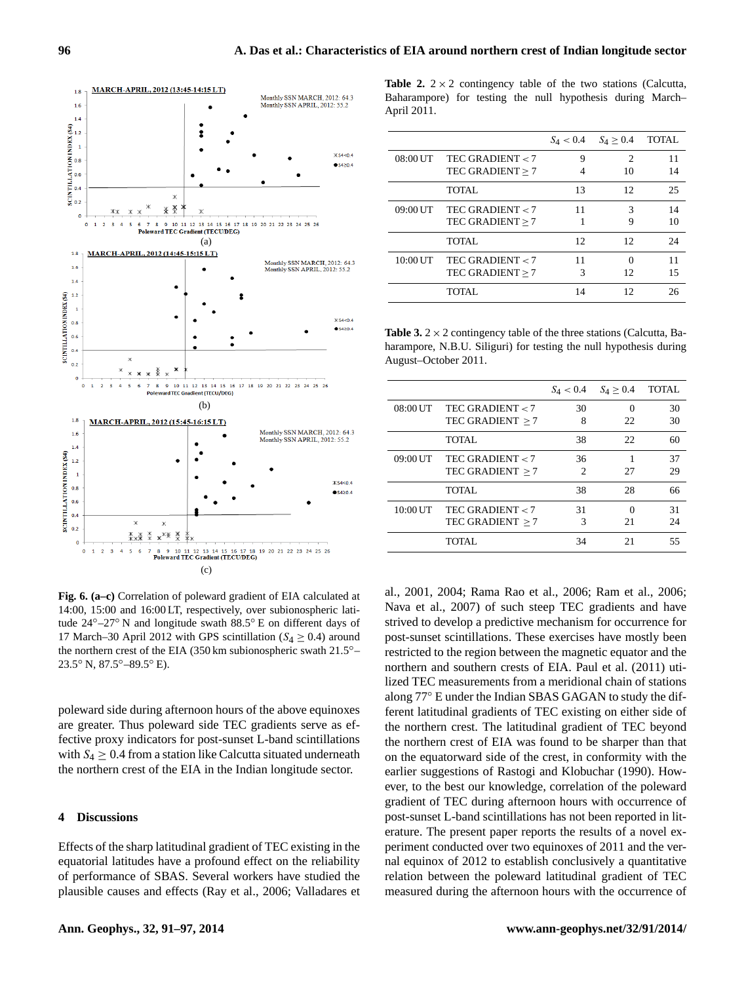

Fig. 6. (a-c) Correlation of poleward gradient of EIA calculated at 14:00, 15:00 and 16:00 LT, respectively, over subionospheric latitude 24◦–27◦ N and longitude swath 88.5◦ E on different days of 17 March–30 April 2012 with GPS scintillation ( $S_4 \geq 0.4$ ) around the northern crest of the EIA (350 km subionospheric swath 21.5◦– 23.5◦ N, 87.5◦–89.5◦ E).

poleward side during afternoon hours of the above equinoxes are greater. Thus poleward side TEC gradients serve as effective proxy indicators for post-sunset L-band scintillations with  $S_4 \geq 0.4$  from a station like Calcutta situated underneath the northern crest of the EIA in the Indian longitude sector.

## **4 Discussions**

Effects of the sharp latitudinal gradient of TEC existing in the equatorial latitudes have a profound effect on the reliability of performance of SBAS. Several workers have studied the plausible causes and effects (Ray et al., 2006; Valladares et **Table 2.**  $2 \times 2$  contingency table of the two stations (Calcutta, Baharampore) for testing the null hypothesis during March– April 2011.

|            |                    | $S_4 < 0.4$ | $S_4 > 0.4$ | <b>TOTAL</b> |
|------------|--------------------|-------------|-------------|--------------|
| 08:00 UT   | TEC GRADIENT $<$ 7 | 9           | 2           | 11           |
|            | TEC GRADIENT > 7   |             | 10          | 14           |
|            | TOTAL.             | 13          | 12          | 25           |
| 09:00 UT   | TEC GRADIENT $<$ 7 | 11          | 3           | 14           |
|            | TEC GRADIENT > 7   |             | 9           | 10           |
|            | TOTAL.             | 12          | 12          | 24           |
| $10:00$ UT | TEC GRADIENT $<$ 7 | 11          |             | 11           |
|            | TEC GRADIENT > 7   | 3           | 12          | 15           |
|            | TOTAL.             | 14          | 12          | 26           |
|            |                    |             |             |              |

**Table 3.**  $2 \times 2$  contingency table of the three stations (Calcutta, Baharampore, N.B.U. Siliguri) for testing the null hypothesis during August–October 2011.

|          |                    | $S_4 < 0.4$ | $S_4 \geq 0.4$ | <b>TOTAL</b> |
|----------|--------------------|-------------|----------------|--------------|
| 08:00 UT | TEC GRADIENT $<$ 7 | 30          | ∩              | 30           |
|          | TEC GRADIENT $>7$  | 8           | 22             | 30           |
|          | TOTAL.             | 38          | 22             | 60           |
| 09:00 UT | TEC GRADIENT $<$ 7 | 36          |                | 37           |
|          | TEC GRADIENT $>7$  | 2           | 27             | 29           |
|          | TOTAL.             | 38          | 28             | 66           |
| 10:00 UT | TEC GRADIENT $<$ 7 | 31          |                | 31           |
|          | TEC GRADIENT $>7$  | 3           | 21             | 24           |
|          | TOTAL.             | 34          | 21             | 55           |

al., 2001, 2004; Rama Rao et al., 2006; Ram et al., 2006; Nava et al., 2007) of such steep TEC gradients and have strived to develop a predictive mechanism for occurrence for post-sunset scintillations. These exercises have mostly been restricted to the region between the magnetic equator and the northern and southern crests of EIA. Paul et al. (2011) utilized TEC measurements from a meridional chain of stations along 77◦ E under the Indian SBAS GAGAN to study the different latitudinal gradients of TEC existing on either side of the northern crest. The latitudinal gradient of TEC beyond the northern crest of EIA was found to be sharper than that on the equatorward side of the crest, in conformity with the earlier suggestions of Rastogi and Klobuchar (1990). However, to the best our knowledge, correlation of the poleward gradient of TEC during afternoon hours with occurrence of post-sunset L-band scintillations has not been reported in literature. The present paper reports the results of a novel experiment conducted over two equinoxes of 2011 and the vernal equinox of 2012 to establish conclusively a quantitative relation between the poleward latitudinal gradient of TEC measured during the afternoon hours with the occurrence of